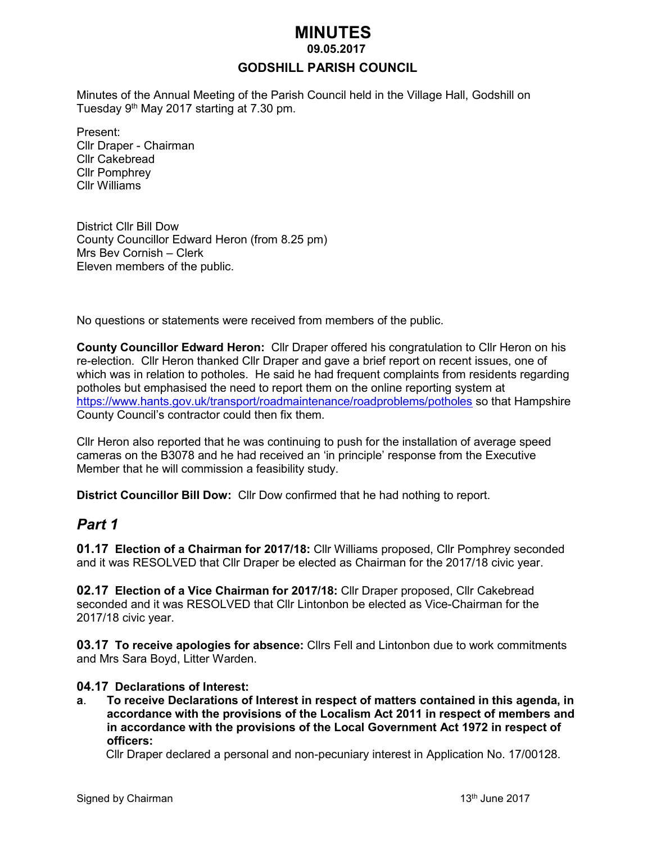## *MINUTES*  **09.05.2017**

## **GODSHILL PARISH COUNCIL**

Minutes of the Annual Meeting of the Parish Council held in the Village Hall, Godshill on Tuesday 9 th May 2017 starting at 7.30 pm.

Present: Cllr Draper - Chairman Cllr Cakebread Cllr Pomphrey Cllr Williams

District Cllr Bill Dow County Councillor Edward Heron (from 8.25 pm) Mrs Bev Cornish – Clerk Eleven members of the public.

No questions or statements were received from members of the public.

**County Councillor Edward Heron:** Cllr Draper offered his congratulation to Cllr Heron on his re-election. Cllr Heron thanked Cllr Draper and gave a brief report on recent issues, one of which was in relation to potholes. He said he had frequent complaints from residents regarding potholes but emphasised the need to report them on the online reporting system at <https://www.hants.gov.uk/transport/roadmaintenance/roadproblems/potholes> so that Hampshire County Council's contractor could then fix them.

Cllr Heron also reported that he was continuing to push for the installation of average speed cameras on the B3078 and he had received an 'in principle' response from the Executive Member that he will commission a feasibility study.

**District Councillor Bill Dow:** Cllr Dow confirmed that he had nothing to report.

# *Part 1*

**01.17 Election of a Chairman for 2017/18:** Cllr Williams proposed, Cllr Pomphrey seconded and it was RESOLVED that Cllr Draper be elected as Chairman for the 2017/18 civic year.

**02.17 Election of a Vice Chairman for 2017/18:** Cllr Draper proposed, Cllr Cakebread seconded and it was RESOLVED that Cllr Lintonbon be elected as Vice-Chairman for the 2017/18 civic year.

**03.17 To receive apologies for absence:** Cllrs Fell and Lintonbon due to work commitments and Mrs Sara Boyd, Litter Warden.

#### **04.17 Declarations of Interest:**

**a**. **To receive Declarations of Interest in respect of matters contained in this agenda, in accordance with the provisions of the Localism Act 2011 in respect of members and in accordance with the provisions of the Local Government Act 1972 in respect of officers:**

Cllr Draper declared a personal and non-pecuniary interest in Application No. 17/00128.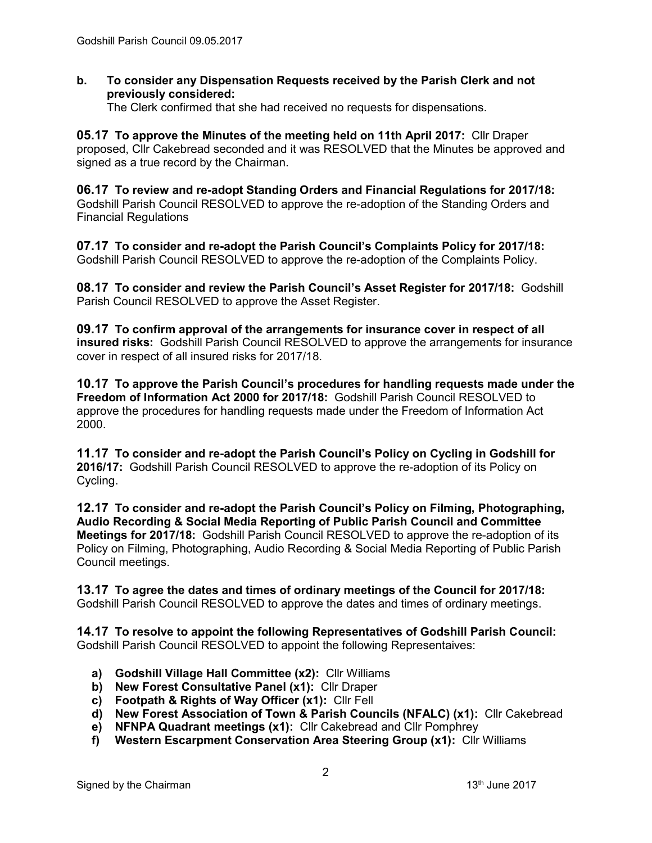**b. To consider any Dispensation Requests received by the Parish Clerk and not previously considered:** 

The Clerk confirmed that she had received no requests for dispensations.

**05.17 To approve the Minutes of the meeting held on 11th April 2017:** Cllr Draper proposed, Cllr Cakebread seconded and it was RESOLVED that the Minutes be approved and signed as a true record by the Chairman.

**06.17 To review and re-adopt Standing Orders and Financial Regulations for 2017/18:**  Godshill Parish Council RESOLVED to approve the re-adoption of the Standing Orders and Financial Regulations

**07.17 To consider and re-adopt the Parish Council's Complaints Policy for 2017/18:**  Godshill Parish Council RESOLVED to approve the re-adoption of the Complaints Policy.

**08.17 To consider and review the Parish Council's Asset Register for 2017/18:** Godshill Parish Council RESOLVED to approve the Asset Register.

**09.17 To confirm approval of the arrangements for insurance cover in respect of all insured risks:** Godshill Parish Council RESOLVED to approve the arrangements for insurance cover in respect of all insured risks for 2017/18.

**10.17 To approve the Parish Council's procedures for handling requests made under the Freedom of Information Act 2000 for 2017/18:** Godshill Parish Council RESOLVED to approve the procedures for handling requests made under the Freedom of Information Act 2000.

**11.17 To consider and re-adopt the Parish Council's Policy on Cycling in Godshill for 2016/17:** Godshill Parish Council RESOLVED to approve the re-adoption of its Policy on Cycling.

**12.17 To consider and re-adopt the Parish Council's Policy on Filming, Photographing, Audio Recording & Social Media Reporting of Public Parish Council and Committee Meetings for 2017/18:** Godshill Parish Council RESOLVED to approve the re-adoption of its Policy on Filming, Photographing, Audio Recording & Social Media Reporting of Public Parish Council meetings.

**13.17 To agree the dates and times of ordinary meetings of the Council for 2017/18:** Godshill Parish Council RESOLVED to approve the dates and times of ordinary meetings.

**14.17 To resolve to appoint the following Representatives of Godshill Parish Council:**  Godshill Parish Council RESOLVED to appoint the following Representaives:

- **a) Godshill Village Hall Committee (x2):** Cllr Williams
- **b) New Forest Consultative Panel (x1):** Cllr Draper
- **c) Footpath & Rights of Way Officer (x1):** Cllr Fell
- **d) New Forest Association of Town & Parish Councils (NFALC) (x1):** Cllr Cakebread
- **e) NFNPA Quadrant meetings (x1):** Cllr Cakebread and Cllr Pomphrey
- **f) Western Escarpment Conservation Area Steering Group (x1):** Cllr Williams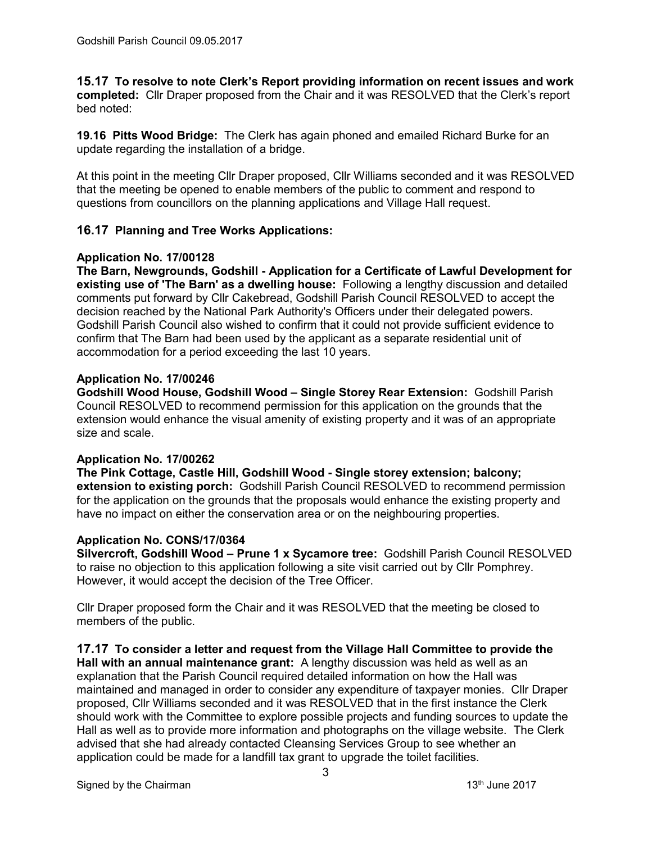**15.17 To resolve to note Clerk's Report providing information on recent issues and work completed:** Cllr Draper proposed from the Chair and it was RESOLVED that the Clerk's report bed noted:

**19.16 Pitts Wood Bridge:** The Clerk has again phoned and emailed Richard Burke for an update regarding the installation of a bridge.

At this point in the meeting Cllr Draper proposed, Cllr Williams seconded and it was RESOLVED that the meeting be opened to enable members of the public to comment and respond to questions from councillors on the planning applications and Village Hall request.

## **16.17 Planning and Tree Works Applications:**

## **Application No. 17/00128**

**The Barn, Newgrounds, Godshill - Application for a Certificate of Lawful Development for existing use of 'The Barn' as a dwelling house:** Following a lengthy discussion and detailed comments put forward by Cllr Cakebread, Godshill Parish Council RESOLVED to accept the decision reached by the National Park Authority's Officers under their delegated powers. Godshill Parish Council also wished to confirm that it could not provide sufficient evidence to confirm that The Barn had been used by the applicant as a separate residential unit of accommodation for a period exceeding the last 10 years.

#### **Application No. 17/00246**

**Godshill Wood House, Godshill Wood – Single Storey Rear Extension:** Godshill Parish Council RESOLVED to recommend permission for this application on the grounds that the extension would enhance the visual amenity of existing property and it was of an appropriate size and scale.

#### **Application No. 17/00262**

**The Pink Cottage, Castle Hill, Godshill Wood - Single storey extension; balcony; extension to existing porch:** Godshill Parish Council RESOLVED to recommend permission for the application on the grounds that the proposals would enhance the existing property and have no impact on either the conservation area or on the neighbouring properties.

## **Application No. CONS/17/0364**

**Silvercroft, Godshill Wood – Prune 1 x Sycamore tree:** Godshill Parish Council RESOLVED to raise no objection to this application following a site visit carried out by Cllr Pomphrey. However, it would accept the decision of the Tree Officer.

Cllr Draper proposed form the Chair and it was RESOLVED that the meeting be closed to members of the public.

**17.17 To consider a letter and request from the Village Hall Committee to provide the** 

**Hall with an annual maintenance grant:** A lengthy discussion was held as well as an explanation that the Parish Council required detailed information on how the Hall was maintained and managed in order to consider any expenditure of taxpayer monies. Cllr Draper proposed, Cllr Williams seconded and it was RESOLVED that in the first instance the Clerk should work with the Committee to explore possible projects and funding sources to update the Hall as well as to provide more information and photographs on the village website. The Clerk advised that she had already contacted Cleansing Services Group to see whether an application could be made for a landfill tax grant to upgrade the toilet facilities.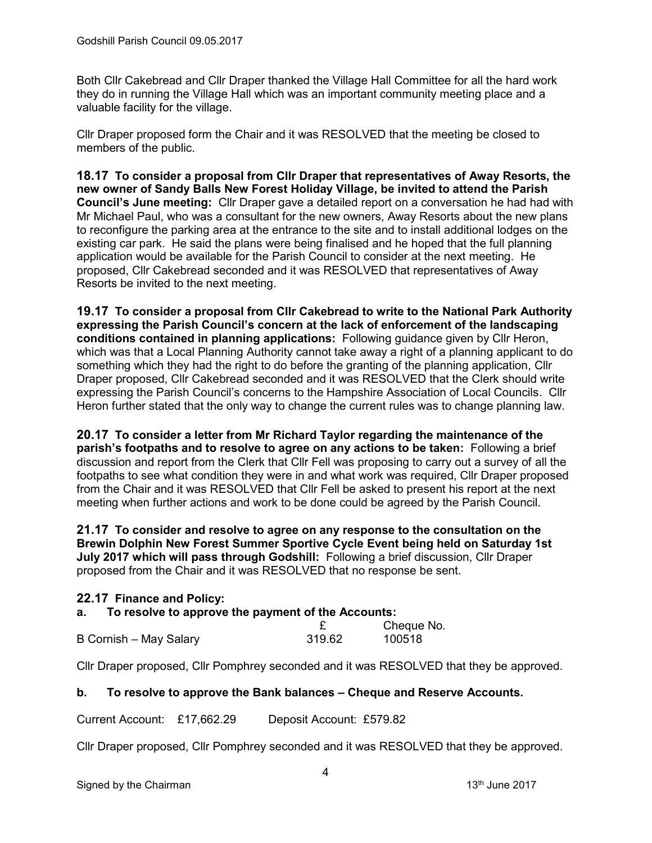Both Cllr Cakebread and Cllr Draper thanked the Village Hall Committee for all the hard work they do in running the Village Hall which was an important community meeting place and a valuable facility for the village.

Cllr Draper proposed form the Chair and it was RESOLVED that the meeting be closed to members of the public.

**18.17 To consider a proposal from Cllr Draper that representatives of Away Resorts, the new owner of Sandy Balls New Forest Holiday Village, be invited to attend the Parish Council's June meeting:** Cllr Draper gave a detailed report on a conversation he had had with Mr Michael Paul, who was a consultant for the new owners, Away Resorts about the new plans to reconfigure the parking area at the entrance to the site and to install additional lodges on the existing car park. He said the plans were being finalised and he hoped that the full planning application would be available for the Parish Council to consider at the next meeting. He proposed, Cllr Cakebread seconded and it was RESOLVED that representatives of Away Resorts be invited to the next meeting.

**19.17 To consider a proposal from Cllr Cakebread to write to the National Park Authority expressing the Parish Council's concern at the lack of enforcement of the landscaping conditions contained in planning applications:** Following guidance given by Cllr Heron, which was that a Local Planning Authority cannot take away a right of a planning applicant to do something which they had the right to do before the granting of the planning application, Cllr Draper proposed, Cllr Cakebread seconded and it was RESOLVED that the Clerk should write expressing the Parish Council's concerns to the Hampshire Association of Local Councils. Cllr Heron further stated that the only way to change the current rules was to change planning law.

**20.17 To consider a letter from Mr Richard Taylor regarding the maintenance of the parish's footpaths and to resolve to agree on any actions to be taken:** Following a brief discussion and report from the Clerk that Cllr Fell was proposing to carry out a survey of all the footpaths to see what condition they were in and what work was required, Cllr Draper proposed from the Chair and it was RESOLVED that Cllr Fell be asked to present his report at the next meeting when further actions and work to be done could be agreed by the Parish Council.

**21.17 To consider and resolve to agree on any response to the consultation on the Brewin Dolphin New Forest Summer Sportive Cycle Event being held on Saturday 1st July 2017 which will pass through Godshill:** Following a brief discussion, Cllr Draper proposed from the Chair and it was RESOLVED that no response be sent.

| 22.17 Finance and Policy:<br>a. To resolve to approve the payment of the Accounts: |        |            |
|------------------------------------------------------------------------------------|--------|------------|
|                                                                                    |        | Cheque No. |
| B Cornish - May Salary                                                             | 319.62 | 100518     |

Cllr Draper proposed, Cllr Pomphrey seconded and it was RESOLVED that they be approved.

# **b. To resolve to approve the Bank balances – Cheque and Reserve Accounts.**

Current Account: £17,662.29 Deposit Account: £579.82

Cllr Draper proposed, Cllr Pomphrey seconded and it was RESOLVED that they be approved.